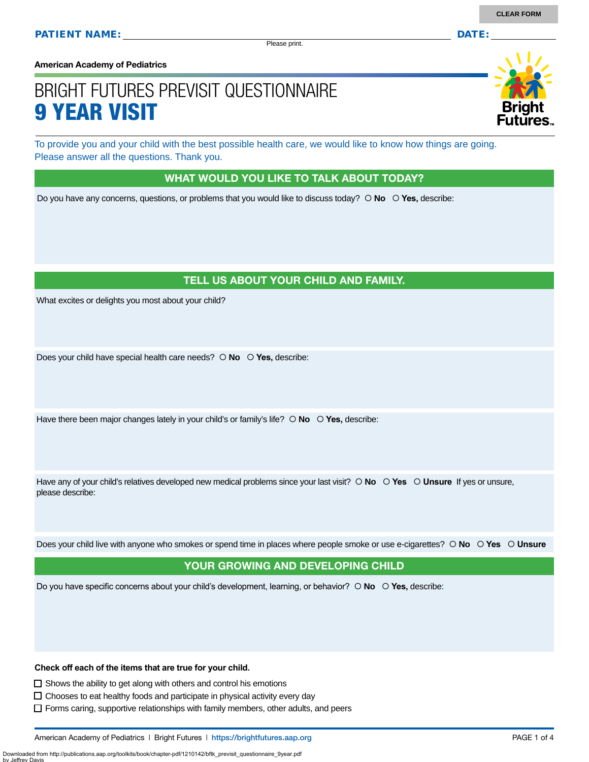Please print.

**American Academy of Pediatrics**

# BRIGHT FUTURES PREVISIT QUESTIONNAIRE 9 YEAR VISIT

To provide you and your child with the best possible health care, we would like to know how things are going. Please answer all the questions. Thank you.

#### WHAT WOULD YOU LIKE TO TALK ABOUT TODAY?

Do you have any concerns, questions, or problems that you would like to discuss today?  $\circ$  **No**  $\circ$  **Yes**, describe:

### TELL US ABOUT YOUR CHILD AND FAMILY.

What excites or delights you most about your child?

Does your child have special health care needs?  $\circ$  **No**  $\circ$  **Yes**, describe:

Have there been major changes lately in your child's or family's life?  $\circ$  **No**  $\circ$  **Yes,** describe:

Have any of your child's relatives developed new medical problems since your last visit?  $\circ$  **No**  $\circ$  **Yes**  $\circ$  **Unsure** If yes or unsure, please describe:

Does your child live with anyone who smokes or spend time in places where people smoke or use e-cigarettes?  **No Yes Unsure**

#### YOUR GROWING AND DEVELOPING CHILD

Do you have specific concerns about your child's development, learning, or behavior?  **No Yes,** describe:

**Check off each of the items that are true for your child.** 

 $\Box$  Shows the ability to get along with others and control his emotions

 $\Box$  Chooses to eat healthy foods and participate in physical activity every day

 $\Box$  Forms caring, supportive relationships with family members, other adults, and peers

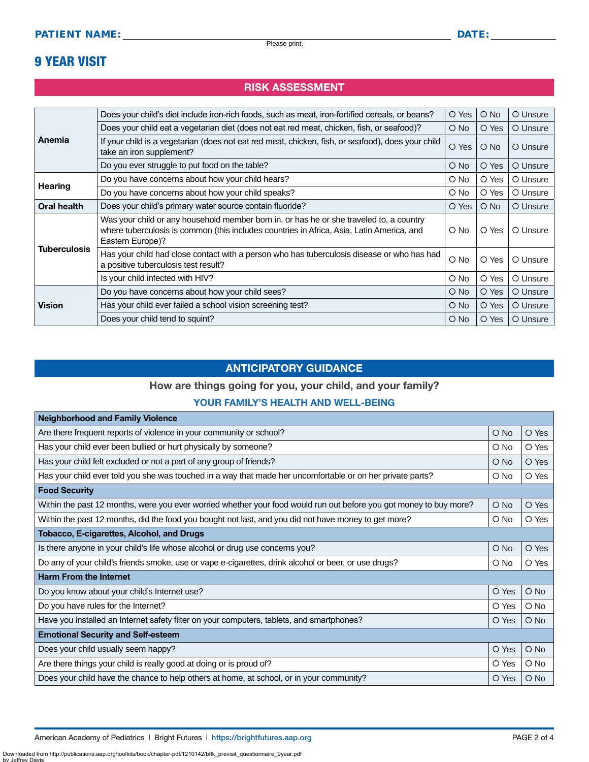### 9 YEAR VISIT

### RISK ASSESSMENT

| Anemia              | Does your child's diet include iron-rich foods, such as meat, iron-fortified cereals, or beans?                                                                                                          | O Yes         | $O$ No        | O Unsure |
|---------------------|----------------------------------------------------------------------------------------------------------------------------------------------------------------------------------------------------------|---------------|---------------|----------|
|                     | Does your child eat a vegetarian diet (does not eat red meat, chicken, fish, or seafood)?                                                                                                                | O No          | O Yes         | O Unsure |
|                     | If your child is a vegetarian (does not eat red meat, chicken, fish, or seafood), does your child<br>take an iron supplement?                                                                            | O Yes         | $O$ No        | O Unsure |
|                     | Do you ever struggle to put food on the table?                                                                                                                                                           | O No          | O Yes         | O Unsure |
|                     | Do you have concerns about how your child hears?                                                                                                                                                         | O No          | O Yes         | O Unsure |
| <b>Hearing</b>      | Do you have concerns about how your child speaks?                                                                                                                                                        | O No          | O Yes         | O Unsure |
| Oral health         | Does your child's primary water source contain fluoride?                                                                                                                                                 | O Yes         | $\bigcirc$ No | O Unsure |
|                     | Was your child or any household member born in, or has he or she traveled to, a country<br>where tuberculosis is common (this includes countries in Africa, Asia, Latin America, and<br>Eastern Europe)? | O No          | O Yes         | O Unsure |
| <b>Tuberculosis</b> | Has your child had close contact with a person who has tuberculosis disease or who has had<br>a positive tuberculosis test result?                                                                       | O No          | O Yes         | O Unsure |
|                     | Is your child infected with HIV?                                                                                                                                                                         | O No          | O Yes         | O Unsure |
| <b>Vision</b>       | Do you have concerns about how your child sees?                                                                                                                                                          | O No          | O Yes         | O Unsure |
|                     | Has your child ever failed a school vision screening test?                                                                                                                                               | $\bigcirc$ No | O Yes         | O Unsure |
|                     | Does your child tend to squint?                                                                                                                                                                          | O No          | O Yes         | O Unsure |

### ANTICIPATORY GUIDANCE

#### How are things going for you, your child, and your family?

#### YOUR FAMILY'S HEALTH AND WELL-BEING

| <b>Neighborhood and Family Violence</b>                                                                            |               |               |  |
|--------------------------------------------------------------------------------------------------------------------|---------------|---------------|--|
| Are there frequent reports of violence in your community or school?                                                | O No          | O Yes         |  |
| Has your child ever been bullied or hurt physically by someone?                                                    | O No          | O Yes         |  |
| Has your child felt excluded or not a part of any group of friends?                                                | $\bigcirc$ No | O Yes         |  |
| Has your child ever told you she was touched in a way that made her uncomfortable or on her private parts?         | O No          | O Yes         |  |
| <b>Food Security</b>                                                                                               |               |               |  |
| Within the past 12 months, were you ever worried whether your food would run out before you got money to buy more? | $O$ No        | O Yes         |  |
| Within the past 12 months, did the food you bought not last, and you did not have money to get more?               | O No          | O Yes         |  |
| Tobacco, E-cigarettes, Alcohol, and Drugs                                                                          |               |               |  |
| Is there anyone in your child's life whose alcohol or drug use concerns you?                                       | $\circ$ No    | O Yes         |  |
| Do any of your child's friends smoke, use or vape e-cigarettes, drink alcohol or beer, or use drugs?               | O No          | O Yes         |  |
| <b>Harm From the Internet</b>                                                                                      |               |               |  |
| Do you know about your child's Internet use?                                                                       | O Yes         | $O$ No        |  |
| Do you have rules for the Internet?                                                                                | O Yes         | $\bigcirc$ No |  |
| Have you installed an Internet safety filter on your computers, tablets, and smartphones?                          | O Yes         | $O$ No        |  |
| <b>Emotional Security and Self-esteem</b>                                                                          |               |               |  |
| Does your child usually seem happy?                                                                                | O Yes         | $\bigcirc$ No |  |
| Are there things your child is really good at doing or is proud of?                                                | O Yes         | $\bigcirc$ No |  |
| Does your child have the chance to help others at home, at school, or in your community?                           | O Yes         | $O$ No        |  |

Downloaded from http://publications.aap.org/toolkits/book/chapter-pdf/1210142/bftk\_previsit\_questionnaire\_9year.pdf

by Jeffrey I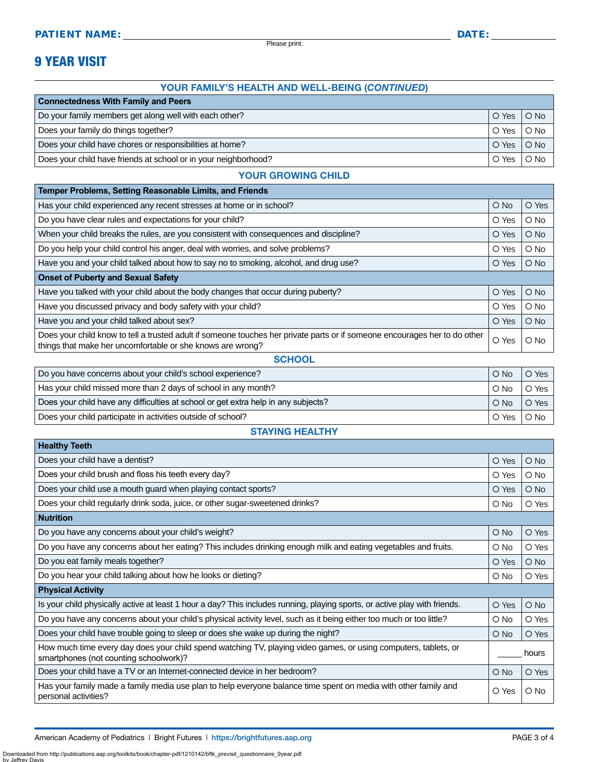Please print.

### 9 YEAR VISIT

#### YOUR FAMILY'S HEALTH AND WELL-BEING (*CONTINUED*)

| <b>Connectedness With Family and Peers</b>                        |       |        |  |
|-------------------------------------------------------------------|-------|--------|--|
| Do your family members get along well with each other?            | O Yes | $O$ No |  |
| Does your family do things together?<br>O Yes                     |       | $O$ No |  |
| Does your child have chores or responsibilities at home?<br>O Yes |       | $O$ No |  |
| Does your child have friends at school or in your neighborhood?   |       | $O$ No |  |

#### YOUR GROWING CHILD

| O Yes<br>$O$ No<br>$O$ No<br>O Yes<br>$O$ No<br>O Yes<br>$\circ$ No<br>O Yes<br>$O$ No<br>O Yes<br>$O$ No<br>O Yes<br>$O$ No<br>O Yes<br>$O$ No<br>O Yes<br>O Yes<br>$\bigcirc$ No | Temper Problems, Setting Reasonable Limits, and Friends                                                                                                                                  |  |  |  |
|------------------------------------------------------------------------------------------------------------------------------------------------------------------------------------|------------------------------------------------------------------------------------------------------------------------------------------------------------------------------------------|--|--|--|
|                                                                                                                                                                                    | Has your child experienced any recent stresses at home or in school?                                                                                                                     |  |  |  |
|                                                                                                                                                                                    | Do you have clear rules and expectations for your child?                                                                                                                                 |  |  |  |
|                                                                                                                                                                                    | When your child breaks the rules, are you consistent with consequences and discipline?                                                                                                   |  |  |  |
|                                                                                                                                                                                    | Do you help your child control his anger, deal with worries, and solve problems?                                                                                                         |  |  |  |
|                                                                                                                                                                                    | Have you and your child talked about how to say no to smoking, alcohol, and drug use?                                                                                                    |  |  |  |
|                                                                                                                                                                                    | <b>Onset of Puberty and Sexual Safety</b>                                                                                                                                                |  |  |  |
|                                                                                                                                                                                    | Have you talked with your child about the body changes that occur during puberty?                                                                                                        |  |  |  |
|                                                                                                                                                                                    | Have you discussed privacy and body safety with your child?                                                                                                                              |  |  |  |
|                                                                                                                                                                                    | Have you and your child talked about sex?                                                                                                                                                |  |  |  |
|                                                                                                                                                                                    | Does your child know to tell a trusted adult if someone touches her private parts or if someone encourages her to do other<br>things that make her uncomfortable or she knows are wrong? |  |  |  |

#### **SCHOOL**

| Do you have concerns about your child's school experience?                         |            | O Yes               |
|------------------------------------------------------------------------------------|------------|---------------------|
| Has your child missed more than 2 days of school in any month?                     | $\circ$ No | O Yes               |
| Does your child have any difficulties at school or get extra help in any subjects? |            | $\circ$ Yes $\circ$ |
| Does your child participate in activities outside of school?                       |            | O Yes O No I        |

#### STAYING HEALTHY

| <b>Healthy Teeth</b>                                                                                                                                      |        |               |
|-----------------------------------------------------------------------------------------------------------------------------------------------------------|--------|---------------|
| Does your child have a dentist?                                                                                                                           | O Yes  | $\bigcirc$ No |
| Does your child brush and floss his teeth every day?                                                                                                      | O Yes  | $\circ$ No    |
| Does your child use a mouth guard when playing contact sports?                                                                                            | O Yes  | O No          |
| Does your child regularly drink soda, juice, or other sugar-sweetened drinks?                                                                             | O No   | O Yes         |
| <b>Nutrition</b>                                                                                                                                          |        |               |
| Do you have any concerns about your child's weight?                                                                                                       | $O$ No | O Yes         |
| Do you have any concerns about her eating? This includes drinking enough milk and eating vegetables and fruits.                                           | O No   | O Yes         |
| Do you eat family meals together?                                                                                                                         | O Yes  | $\bigcirc$ No |
| Do you hear your child talking about how he looks or dieting?                                                                                             | O No   | O Yes         |
| <b>Physical Activity</b>                                                                                                                                  |        |               |
| Is your child physically active at least 1 hour a day? This includes running, playing sports, or active play with friends.                                | O Yes  | $\bigcirc$ No |
| Do you have any concerns about your child's physical activity level, such as it being either too much or too little?                                      | O No   | O Yes         |
| Does your child have trouble going to sleep or does she wake up during the night?                                                                         | O No   | O Yes         |
| How much time every day does your child spend watching TV, playing video games, or using computers, tablets, or<br>smartphones (not counting schoolwork)? |        | hours         |
| Does your child have a TV or an Internet-connected device in her bedroom?                                                                                 | O No   | O Yes         |
| Has your family made a family media use plan to help everyone balance time spent on media with other family and<br>personal activities?                   | O Yes  | O No          |

Downloaded from http://publications.aap.org/toolkits/book/chapter-pdf/1210142/bftk\_previsit\_questionnaire\_9year.pdf

by Jeffrey Day